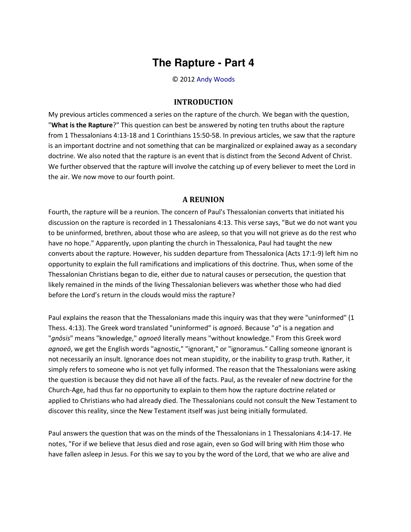## **The Rapture - Part 4**

© 2012 [Andy Woods](http://www.spiritandtruth.org/id/aw.htm)

## **INTRODUCTION**

My previous articles commenced a series on the rapture of the church. We began with the question, "**What is the Rapture**?" This question can best be answered by noting ten truths about the rapture from 1 Thessalonians 4:13-18 and 1 Corinthians 15:50-58. In previous articles, we saw that the rapture is an important doctrine and not something that can be marginalized or explained away as a secondary doctrine. We also noted that the rapture is an event that is distinct from the Second Advent of Christ. We further observed that the rapture will involve the catching up of every believer to meet the Lord in the air. We now move to our fourth point.

## **A REUNION**

Fourth, the rapture will be a reunion. The concern of Paul's Thessalonian converts that initiated his discussion on the rapture is recorded in 1 Thessalonians 4:13. This verse says, "But we do not want you to be uninformed, brethren, about those who are asleep, so that you will not grieve as do the rest who have no hope." Apparently, upon planting the church in Thessalonica, Paul had taught the new converts about the rapture. However, his sudden departure from Thessalonica (Acts 17:1-9) left him no opportunity to explain the full ramifications and implications of this doctrine. Thus, when some of the Thessalonian Christians began to die, either due to natural causes or persecution, the question that likely remained in the minds of the living Thessalonian believers was whether those who had died before the Lord's return in the clouds would miss the rapture?

Paul explains the reason that the Thessalonians made this inquiry was that they were "uninformed" (1 Thess. 4:13). The Greek word translated "uninformed" is *agnoeō*. Because "*a*" is a negation and "*gnōsis*" means "knowledge," *agnoeō* literally means "without knowledge." From this Greek word *agnoeō*, we get the English words "agnostic," "ignorant," or "ignoramus." Calling someone ignorant is not necessarily an insult. Ignorance does not mean stupidity, or the inability to grasp truth. Rather, it simply refers to someone who is not yet fully informed. The reason that the Thessalonians were asking the question is because they did not have all of the facts. Paul, as the revealer of new doctrine for the Church-Age, had thus far no opportunity to explain to them how the rapture doctrine related or applied to Christians who had already died. The Thessalonians could not consult the New Testament to discover this reality, since the New Testament itself was just being initially formulated.

Paul answers the question that was on the minds of the Thessalonians in 1 Thessalonians 4:14-17. He notes, "For if we believe that Jesus died and rose again, even so God will bring with Him those who have fallen asleep in Jesus. For this we say to you by the word of the Lord, that we who are alive and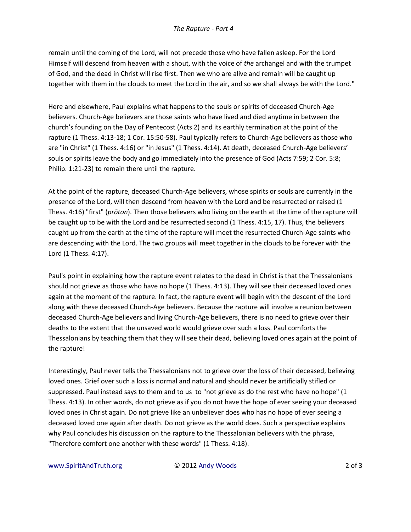remain until the coming of the Lord, will not precede those who have fallen asleep. For the Lord Himself will descend from heaven with a shout, with the voice of *the* archangel and with the trumpet of God, and the dead in Christ will rise first. Then we who are alive and remain will be caught up together with them in the clouds to meet the Lord in the air, and so we shall always be with the Lord."

Here and elsewhere, Paul explains what happens to the souls or spirits of deceased Church-Age believers. Church-Age believers are those saints who have lived and died anytime in between the church's founding on the Day of Pentecost (Acts 2) and its earthly termination at the point of the rapture (1 Thess. 4:13-18; 1 Cor. 15:50-58). Paul typically refers to Church-Age believers as those who are "in Christ" (1 Thess. 4:16) or "in Jesus" (1 Thess. 4:14). At death, deceased Church-Age believers' souls or spirits leave the body and go immediately into the presence of God (Acts 7:59; 2 Cor. 5:8; Philip. 1:21-23) to remain there until the rapture.

At the point of the rapture, deceased Church-Age believers, whose spirits or souls are currently in the presence of the Lord, will then descend from heaven with the Lord and be resurrected or raised (1 Thess. 4:16) "first" (*prōton*). Then those believers who living on the earth at the time of the rapture will be caught up to be with the Lord and be resurrected second (1 Thess. 4:15, 17). Thus, the believers caught up from the earth at the time of the rapture will meet the resurrected Church-Age saints who are descending with the Lord. The two groups will meet together in the clouds to be forever with the Lord (1 Thess. 4:17).

Paul's point in explaining how the rapture event relates to the dead in Christ is that the Thessalonians should not grieve as those who have no hope (1 Thess. 4:13). They will see their deceased loved ones again at the moment of the rapture. In fact, the rapture event will begin with the descent of the Lord along with these deceased Church-Age believers. Because the rapture will involve a reunion between deceased Church-Age believers and living Church-Age believers, there is no need to grieve over their deaths to the extent that the unsaved world would grieve over such a loss. Paul comforts the Thessalonians by teaching them that they will see their dead, believing loved ones again at the point of the rapture!

Interestingly, Paul never tells the Thessalonians not to grieve over the loss of their deceased, believing loved ones. Grief over such a loss is normal and natural and should never be artificially stifled or suppressed. Paul instead says to them and to us to "not grieve as do the rest who have no hope" (1 Thess. 4:13). In other words, do not grieve as if you do not have the hope of ever seeing your deceased loved ones in Christ again. Do not grieve like an unbeliever does who has no hope of ever seeing a deceased loved one again after death. Do not grieve as the world does. Such a perspective explains why Paul concludes his discussion on the rapture to the Thessalonian believers with the phrase, "Therefore comfort one another with these words" (1 Thess. 4:18).

www.SpiritAndTruth.org  $\qquad \qquad \qquad \qquad \qquad \qquad \qquad$  0 2012 Andy Woods 2 of 3